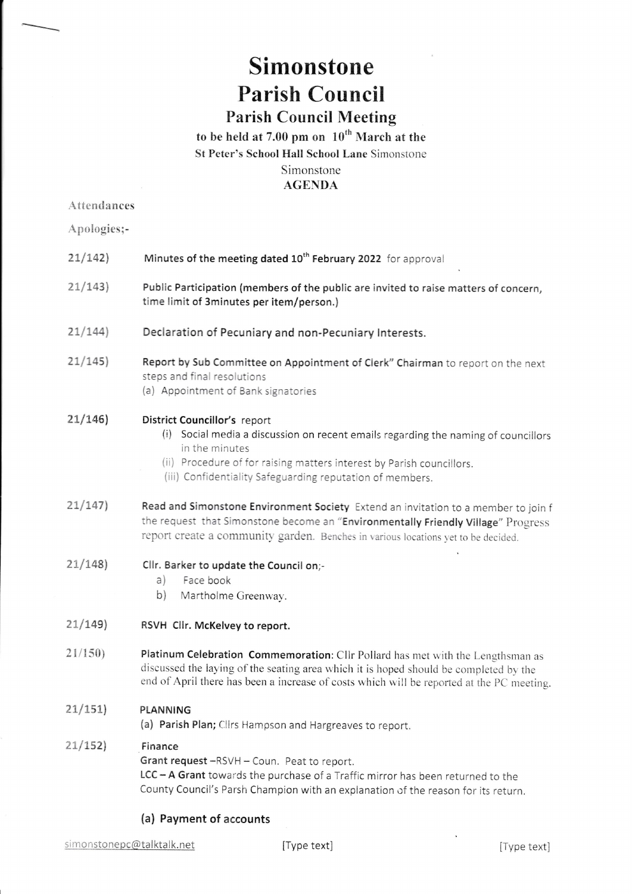## Simonstone Parish Council Parish Council Meeting

to be held at 7.00 pm on  $10^{th}$  March at the St Peter's School Hall School Lane Simonstone Simonstone AGENDA

## Attendances

Apologies;-

| 21/142  | Minutes of the meeting dated 10 <sup>th</sup> February 2022 for approval                                                                                                                                                                                                   |
|---------|----------------------------------------------------------------------------------------------------------------------------------------------------------------------------------------------------------------------------------------------------------------------------|
| 21/143  | Public Participation (members of the public are invited to raise matters of concern,<br>time limit of 3minutes per item/person.)                                                                                                                                           |
| 21/144) | Declaration of Pecuniary and non-Pecuniary Interests.                                                                                                                                                                                                                      |
| 21/145  | Report by Sub Committee on Appointment of Clerk" Chairman to report on the next<br>steps and final resolutions<br>(a) Appointment of Bank signatories                                                                                                                      |
| 21/146  | District Councillor's report<br>(i) Social media a discussion on recent emails regarding the naming of councillors<br>in the minutes<br>(ii) Procedure of for raising matters interest by Parish councillors.<br>(iii) Confidentiality Safeguarding reputation of members. |
| 21/147  | Read and Simonstone Environment Society Extend an invitation to a member to join f<br>the request that Simonstone become an "Environmentally Friendly Village" Progress<br>report create a community garden. Benches in various locations yet to be decided.               |
| 21/148  | Cllr. Barker to update the Council on;-<br>Face book<br>a)<br>b)<br>Martholme Greenway.                                                                                                                                                                                    |
| 21/149  | RSVH Clir. McKelvey to report.                                                                                                                                                                                                                                             |
| 21/150  | Platinum Celebration Commemoration: Cllr Pollard has met with the Lengthsman as<br>discussed the laying of the seating area which it is hoped should be completed by the<br>end of April there has been a increase of costs which will be reported at the PC meeting.      |
| 21/151  | PLANNING<br>(a) Parish Plan; Cllrs Hampson and Hargreaves to report.                                                                                                                                                                                                       |
| 21/152  | Finance<br>Grant request -RSVH - Coun. Peat to report.<br>LCC - A Grant towards the purchase of a Traffic mirror has been returned to the<br>County Council's Parsh Champion with an explanation of the reason for its return.                                             |
|         | (a) Payment of accounts                                                                                                                                                                                                                                                    |